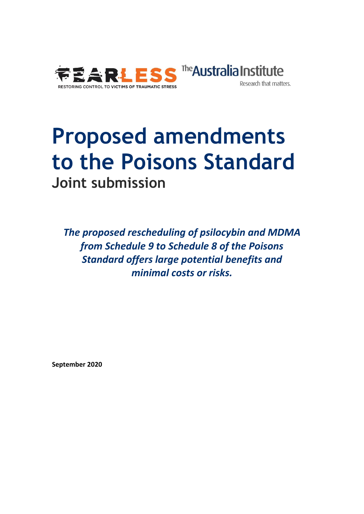

#### The **Australia Institute** Research that matters.

# **Proposed amendments to the Poisons Standard Joint submission**

*The proposed rescheduling of psilocybin and MDMA from Schedule 9 to Schedule 8 of the Poisons Standard offers large potential benefits and minimal costs or risks.* 

**September 2020**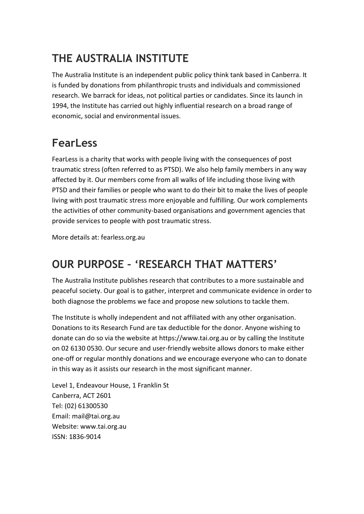## **THE AUSTRALIA INSTITUTE**

The Australia Institute is an independent public policy think tank based in Canberra. It is funded by donations from philanthropic trusts and individuals and commissioned research. We barrack for ideas, not political parties or candidates. Since its launch in 1994, the Institute has carried out highly influential research on a broad range of economic, social and environmental issues.

#### **FearLess**

FearLess is a charity that works with people living with the consequences of post traumatic stress (often referred to as PTSD). We also help family members in any way affected by it. Our members come from all walks of life including those living with PTSD and their families or people who want to do their bit to make the lives of people living with post traumatic stress more enjoyable and fulfilling. Our work complements the activities of other community-based organisations and government agencies that provide services to people with post traumatic stress.

More details at: fearless.org.au

### **OUR PURPOSE – 'RESEARCH THAT MATTERS'**

The Australia Institute publishes research that contributes to a more sustainable and peaceful society. Our goal is to gather, interpret and communicate evidence in order to both diagnose the problems we face and propose new solutions to tackle them.

The Institute is wholly independent and not affiliated with any other organisation. Donations to its Research Fund are tax deductible for the donor. Anyone wishing to donate can do so via the website at https://www.tai.org.au or by calling the Institute on 02 6130 0530. Our secure and user-friendly website allows donors to make either one-off or regular monthly donations and we encourage everyone who can to donate in this way as it assists our research in the most significant manner.

Level 1, Endeavour House, 1 Franklin St Canberra, ACT 2601 Tel: (02) 61300530 Email: mail@tai.org.au Website: www.tai.org.au ISSN: 1836-9014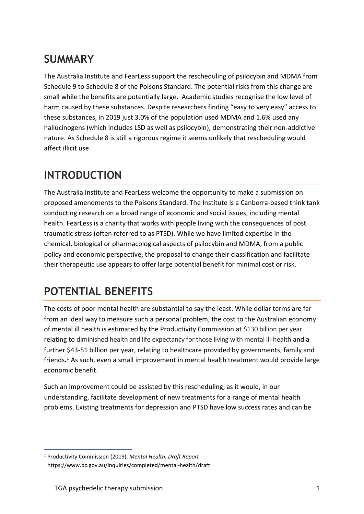#### **SUMMARY**

The Australia Institute and FearLess support the rescheduling of psilocybin and MDMA from Schedule 9 to Schedule 8 of the Poisons Standard. The potential risks from this change are small while the benefits are potentially large. Academic studies recognise the low level of harm caused by these substances. Despite researchers finding "easy to very easy" access to these substances, in 2019 just 3.0% of the population used MDMA and 1.6% used any hallucinogens (which includes LSD as well as psilocybin), demonstrating their non-addictive nature. As Schedule 8 is still a rigorous regime it seems unlikely that rescheduling would affect illicit use.

#### **INTRODUCTION**

The Australia Institute and FearLess welcome the opportunity to make a submission on proposed amendments to the Poisons Standard. The Institute is a Canberra-based think tank conducting research on a broad range of economic and social issues, including mental health. FearLess is a charity that works with people living with the consequences of post traumatic stress (often referred to as PTSD). While we have limited expertise in the chemical, biological or pharmacological aspects of psilocybin and MDMA, from a public policy and economic perspective, the proposal to change their classification and facilitate their therapeutic use appears to offer large potential benefit for minimal cost or risk.

#### **POTENTIAL BENEFITS**

The costs of poor mental health are substantial to say the least. While dollar terms are far from an ideal way to measure such a personal problem, the cost to the Australian economy of mental ill health is estimated by the Productivity Commission at \$130 billion per year relating to diminished health and life expectancy for those living with mental ill-health and a further \$43-51 billion per year, relating to healthcare provided by governments, family and friends*.* <sup>1</sup> As such, even a small improvement in mental health treatment would provide large economic benefit.

Such an improvement could be assisted by this rescheduling, as it would, in our understanding, facilitate development of new treatments for a range of mental health problems. Existing treatments for depression and PTSD have low success rates and can be

<sup>1</sup> Productivity Commission (2019), *Mental Health: Draft Report* <https://www.pc.gov.au/inquiries/completed/mental-health/draft>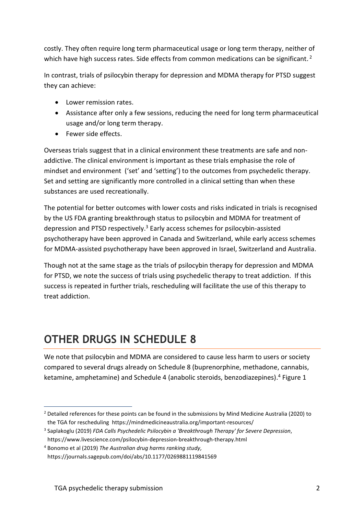costly. They often require long term pharmaceutical usage or long term therapy, neither of which have high success rates. Side effects from common medications can be significant.<sup>2</sup>

In contrast, trials of psilocybin therapy for depression and MDMA therapy for PTSD suggest they can achieve:

- Lower remission rates.
- Assistance after only a few sessions, reducing the need for long term pharmaceutical usage and/or long term therapy.
- Fewer side effects.

Overseas trials suggest that in a clinical environment these treatments are safe and nonaddictive. The clinical environment is important as these trials emphasise the role of mindset and environment ('set' and 'setting') to the outcomes from psychedelic therapy. Set and setting are significantly more controlled in a clinical setting than when these substances are used recreationally.

The potential for better outcomes with lower costs and risks indicated in trials is recognised by the US FDA granting breakthrough status to psilocybin and MDMA for treatment of depression and PTSD respectively.<sup>3</sup> Early access schemes for psilocybin-assisted psychotherapy have been approved in Canada and Switzerland, while early access schemes for MDMA-assisted psychotherapy have been approved in Israel, Switzerland and Australia.

Though not at the same stage as the trials of psilocybin therapy for depression and MDMA for PTSD, we note the success of trials using psychedelic therapy to treat addiction. If this success is repeated in further trials, rescheduling will facilitate the use of this therapy to treat addiction.

### **OTHER DRUGS IN SCHEDULE 8**

We note that psilocybin and MDMA are considered to cause less harm to users or society compared to several drugs already on Schedule 8 (buprenorphine, methadone, cannabis, ketamine, amphetamine) and Schedule 4 (anabolic steroids, benzodiazepines). <sup>4</sup> Figure 1

<sup>&</sup>lt;sup>2</sup> Detailed references for these points can be found in the submissions by Mind Medicine Australia (2020) to the TGA for rescheduling https://mindmedicineaustralia.org/important-resources/

<sup>3</sup> Saplakoglu (2019) *FDA Calls Psychedelic Psilocybin a 'Breakthrough Therapy' for Severe Depression*, https://www.livescience.com/psilocybin-depression-breakthrough-therapy.html

<sup>4</sup> Bonomo et al (2019) *The Australian drug harms ranking study,*  https://journals.sagepub.com/doi/abs/10.1177/0269881119841569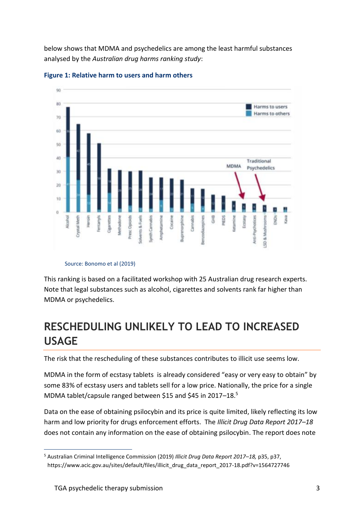below shows that MDMA and psychedelics are among the least harmful substances analysed by the *Australian drug harms ranking study*:





#### Source: Bonomo et al (2019)

This ranking is based on a facilitated workshop with 25 Australian drug research experts. Note that legal substances such as alcohol, cigarettes and solvents rank far higher than MDMA or psychedelics.

#### **RESCHEDULING UNLIKELY TO LEAD TO INCREASED USAGE**

The risk that the rescheduling of these substances contributes to illicit use seems low.

MDMA in the form of ecstasy tablets is already considered "easy or very easy to obtain" by some 83% of ecstasy users and tablets sell for a low price. Nationally, the price for a single MDMA tablet/capsule ranged between \$15 and \$45 in 2017–18.<sup>5</sup>

Data on the ease of obtaining psilocybin and its price is quite limited, likely reflecting its low harm and low priority for drugs enforcement efforts. The *Illicit Drug Data Report 2017–18* does not contain any information on the ease of obtaining psilocybin. The report does note

<sup>5</sup> Australian Criminal Intelligence Commission (2019) *Illicit Drug Data Report 2017–18,* p35, p37, https://www.acic.gov.au/sites/default/files/illicit\_drug\_data\_report\_2017-18.pdf?v=1564727746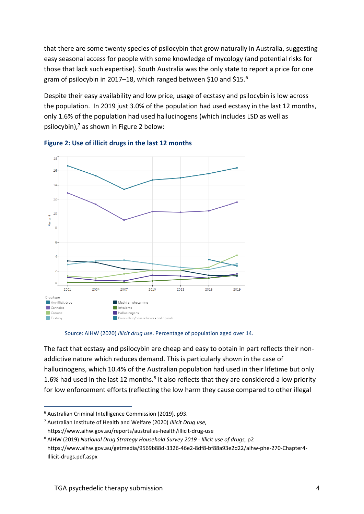that there are some twenty species of psilocybin that grow naturally in Australia, suggesting easy seasonal access for people with some knowledge of mycology (and potential risks for those that lack such expertise). South Australia was the only state to report a price for one gram of psilocybin in 2017–18, which ranged between \$10 and \$15. 6

Despite their easy availability and low price, usage of ecstasy and psilocybin is low across the population. In 2019 just 3.0% of the population had used ecstasy in the last 12 months, only 1.6% of the population had used hallucinogens (which includes LSD as well as psilocybin), <sup>7</sup> as shown in Figure 2 below:





#### Source: AIHW (2020) *Illicit drug use*. Percentage of population aged over 14.

The fact that ecstasy and psilocybin are cheap and easy to obtain in part reflects their nonaddictive nature which reduces demand. This is particularly shown in the case of hallucinogens, which 10.4% of the Australian population had used in their lifetime but only 1.6% had used in the last 12 months. $8$  It also reflects that they are considered a low priority for low enforcement efforts (reflecting the low harm they cause compared to other illegal

<sup>6</sup> Australian Criminal Intelligence Commission (2019), p93.

<sup>7</sup> Australian Institute of Health and Welfare (2020) *Illicit Drug use,* 

https://www.aihw.gov.au/reports/australias-health/illicit-drug-use

<sup>8</sup> AIHW (2019) *National Drug Strategy Household Survey 2019 - Illicit use of drugs,* p2 https://www.aihw.gov.au/getmedia/9569b88d-3326-46e2-8df8-bf88a93e2d22/aihw-phe-270-Chapter4- Illicit-drugs.pdf.aspx